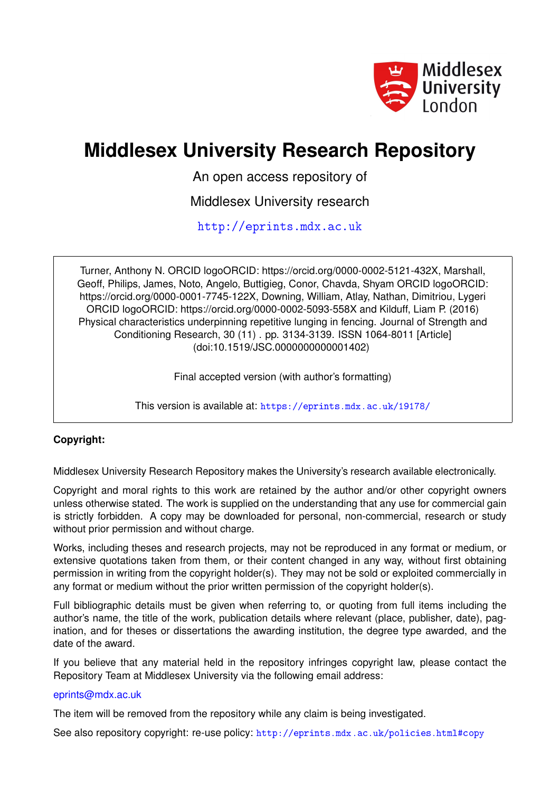

# **Middlesex University Research Repository**

An open access repository of

Middlesex University research

<http://eprints.mdx.ac.uk>

Turner, Anthony N. ORCID logoORCID: https://orcid.org/0000-0002-5121-432X, Marshall, Geoff, Philips, James, Noto, Angelo, Buttigieg, Conor, Chavda, Shyam ORCID logoORCID: https://orcid.org/0000-0001-7745-122X, Downing, William, Atlay, Nathan, Dimitriou, Lygeri ORCID logoORCID: https://orcid.org/0000-0002-5093-558X and Kilduff, Liam P. (2016) Physical characteristics underpinning repetitive lunging in fencing. Journal of Strength and Conditioning Research, 30 (11) . pp. 3134-3139. ISSN 1064-8011 [Article] (doi:10.1519/JSC.0000000000001402)

Final accepted version (with author's formatting)

This version is available at: <https://eprints.mdx.ac.uk/19178/>

# **Copyright:**

Middlesex University Research Repository makes the University's research available electronically.

Copyright and moral rights to this work are retained by the author and/or other copyright owners unless otherwise stated. The work is supplied on the understanding that any use for commercial gain is strictly forbidden. A copy may be downloaded for personal, non-commercial, research or study without prior permission and without charge.

Works, including theses and research projects, may not be reproduced in any format or medium, or extensive quotations taken from them, or their content changed in any way, without first obtaining permission in writing from the copyright holder(s). They may not be sold or exploited commercially in any format or medium without the prior written permission of the copyright holder(s).

Full bibliographic details must be given when referring to, or quoting from full items including the author's name, the title of the work, publication details where relevant (place, publisher, date), pagination, and for theses or dissertations the awarding institution, the degree type awarded, and the date of the award.

If you believe that any material held in the repository infringes copyright law, please contact the Repository Team at Middlesex University via the following email address:

## [eprints@mdx.ac.uk](mailto:eprints@mdx.ac.uk)

The item will be removed from the repository while any claim is being investigated.

See also repository copyright: re-use policy: <http://eprints.mdx.ac.uk/policies.html#copy>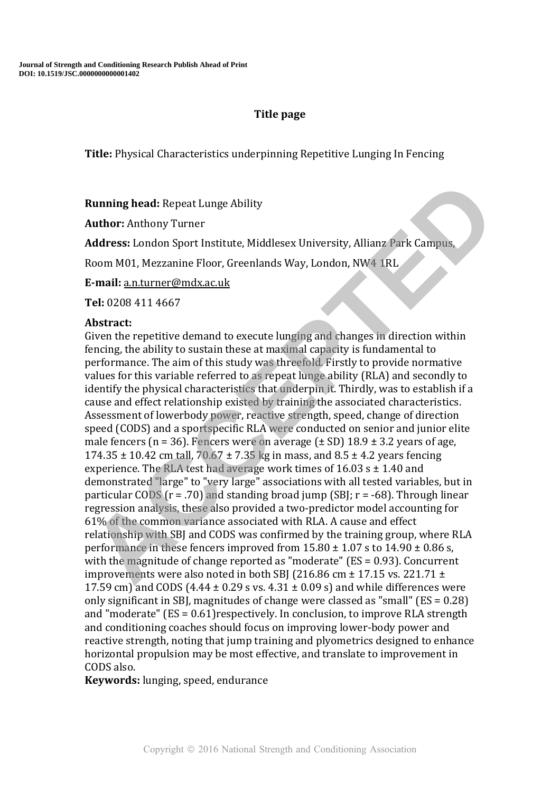# **Title page**

**Title:** Physical Characteristics underpinning Repetitive Lunging In Fencing

**Running head:** Repeat Lunge Ability

**Author:** Anthony Turner

**Address:** London Sport Institute, Middlesex University, Allianz Park Campus,

Room M01, Mezzanine Floor, Greenlands Way, London, NW4 1RL

**E-mail:** a.n.turner@mdx.ac.uk

**Tel:** 0208 411 4667

# **Abstract:**

Given the repetitive demand to execute lunging and changes in direction within fencing, the ability to sustain these at maximal capacity is fundamental to performance. The aim of this study was threefold. Firstly to provide normative values for this variable referred to as repeat lunge ability (RLA) and secondly to identify the physical characteristics that underpin it. Thirdly, was to establish if a cause and effect relationship existed by training the associated characteristics. Assessment of lowerbody power, reactive strength, speed, change of direction speed (CODS) and a sportspecific RLA were conducted on senior and junior elite male fencers (n = 36). Fencers were on average ( $\pm$  SD) 18.9  $\pm$  3.2 years of age, 174.35  $\pm$  10.42 cm tall, 70.67  $\pm$  7.35 kg in mass, and 8.5  $\pm$  4.2 years fencing experience. The RLA test had average work times of  $16.03$  s  $\pm$  1.40 and demonstrated "large" to "very large" associations with all tested variables, but in particular CODS ( $r = .70$ ) and standing broad jump (SBI;  $r = -68$ ). Through linear regression analysis, these also provided a two-predictor model accounting for 61% of the common variance associated with RLA. A cause and effect relationship with SBJ and CODS was confirmed by the training group, where RLA performance in these fencers improved from  $15.80 \pm 1.07$  s to  $14.90 \pm 0.86$  s, with the magnitude of change reported as "moderate" (ES = 0.93). Concurrent improvements were also noted in both SBJ (216.86 cm  $\pm$  17.15 vs. 221.71  $\pm$ 17.59 cm) and CODS (4.44  $\pm$  0.29 s vs. 4.31  $\pm$  0.09 s) and while differences were only significant in SBJ, magnitudes of change were classed as "small" (ES = 0.28) and "moderate" (ES = 0.61)respectively. In conclusion, to improve RLA strength and conditioning coaches should focus on improving lower-body power and reactive strength, noting that jump training and plyometrics designed to enhance horizontal propulsion may be most effective, and translate to improvement in CODS also. **Running head:** Repeat Lunge Ability<br> **Author:** Anthony Turner<br> **Address:** London Sport Institute, Middlesex University, Alliany Park Campus,<br> **ACCEPT EXECT TO ACCEPT CON** Constant Place is a maximal constant of the result

**Keywords:** lunging, speed, endurance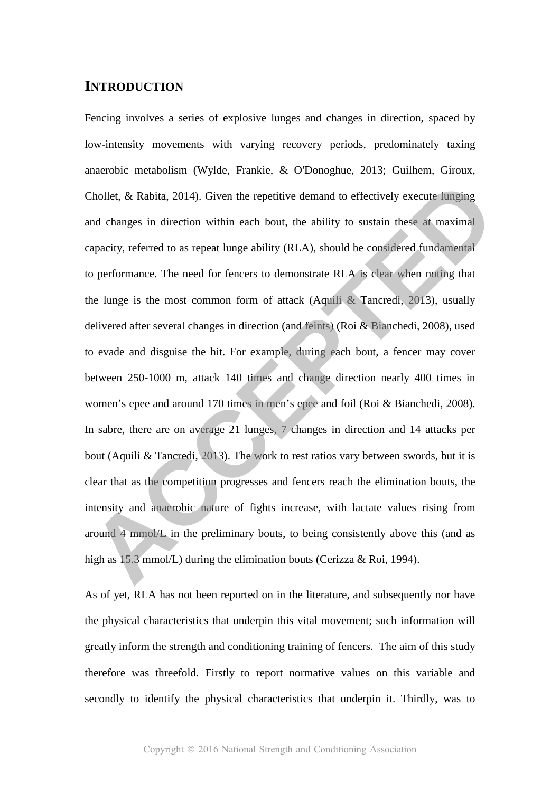# **INTRODUCTION**

Fencing involves a series of explosive lunges and changes in direction, spaced by low-intensity movements with varying recovery periods, predominately taxing anaerobic metabolism (Wylde, Frankie, & O'Donoghue, 2013; Guilhem, Giroux, Chollet, & Rabita, 2014). Given the repetitive demand to effectively execute lunging and changes in direction within each bout, the ability to sustain these at maximal capacity, referred to as repeat lunge ability (RLA), should be considered fundamental to performance. The need for fencers to demonstrate RLA is clear when noting that the lunge is the most common form of attack (Aquili & Tancredi, 2013), usually delivered after several changes in direction (and feints) (Roi & Bianchedi, 2008), used to evade and disguise the hit. For example, during each bout, a fencer may cover between 250-1000 m, attack 140 times and change direction nearly 400 times in women's epee and around 170 times in men's epee and foil (Roi & Bianchedi, 2008). In sabre, there are on average 21 lunges, 7 changes in direction and 14 attacks per bout (Aquili & Tancredi, 2013). The work to rest ratios vary between swords, but it is clear that as the competition progresses and fencers reach the elimination bouts, the intensity and anaerobic nature of fights increase, with lactate values rising from around 4 mmol/L in the preliminary bouts, to being consistently above this (and as high as 15.3 mmol/L) during the elimination bouts (Cerizza & Roi, 1994). Chollet. & Rabita, 2014). Given the repetitive demand to effectively execute lunging<br>and changes in direction within each bout, the ability to sustain these at maximal<br>apacity, referred to as repeat lunge ability (RLA), s

As of yet, RLA has not been reported on in the literature, and subsequently nor have the physical characteristics that underpin this vital movement; such information will greatly inform the strength and conditioning training of fencers. The aim of this study therefore was threefold. Firstly to report normative values on this variable and secondly to identify the physical characteristics that underpin it. Thirdly, was to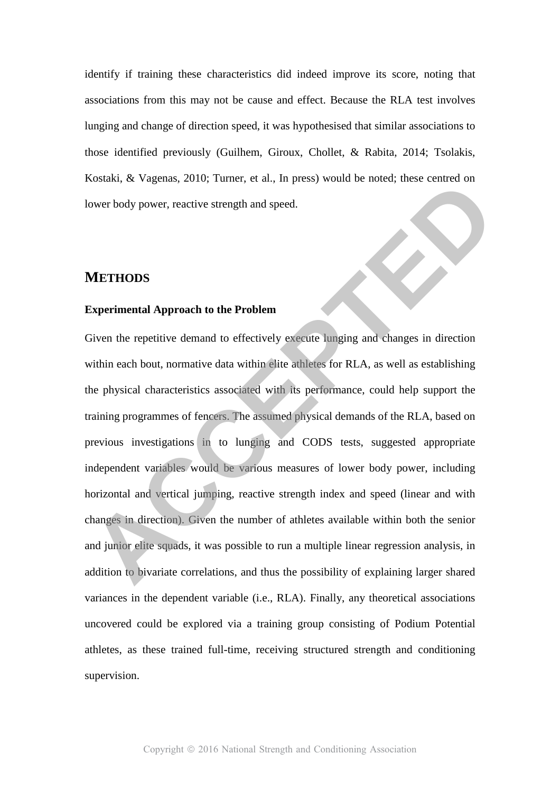identify if training these characteristics did indeed improve its score, noting that associations from this may not be cause and effect. Because the RLA test involves lunging and change of direction speed, it was hypothesised that similar associations to those identified previously (Guilhem, Giroux, Chollet, & Rabita, 2014; Tsolakis, Kostaki, & Vagenas, 2010; Turner, et al., In press) would be noted; these centred on lower body power, reactive strength and speed.

# **METHODS**

#### **Experimental Approach to the Problem**

Given the repetitive demand to effectively execute lunging and changes in direction within each bout, normative data within elite athletes for RLA, as well as establishing the physical characteristics associated with its performance, could help support the training programmes of fencers. The assumed physical demands of the RLA, based on previous investigations in to lunging and CODS tests, suggested appropriate independent variables would be various measures of lower body power, including horizontal and vertical jumping, reactive strength index and speed (linear and with changes in direction). Given the number of athletes available within both the senior and junior elite squads, it was possible to run a multiple linear regression analysis, in addition to bivariate correlations, and thus the possibility of explaining larger shared variances in the dependent variable (i.e., RLA). Finally, any theoretical associations uncovered could be explored via a training group consisting of Podium Potential athletes, as these trained full-time, receiving structured strength and conditioning supervision. **ACCED**<br>**ACCED**<br>**ACCED**<br>**ACCED**<br>**ACCED**<br>**ACCED**<br>**ACCED**<br>**ACCED**<br>**ACCED**<br>**ACCED**<br>**ACCED**<br>**ACCED**<br>**ACCED**<br>**ACCED**<br>**ACCED**<br>**ACCED**<br>**ACCED**<br>**ACCED**<br>**ACCED**<br>**ACCED**<br>**ACCED**<br>**ACCED**<br>**ACCED**<br>**ACCED**<br>**ACCED**<br>**ACCED**<br>**ACCED**<br>**ACCED**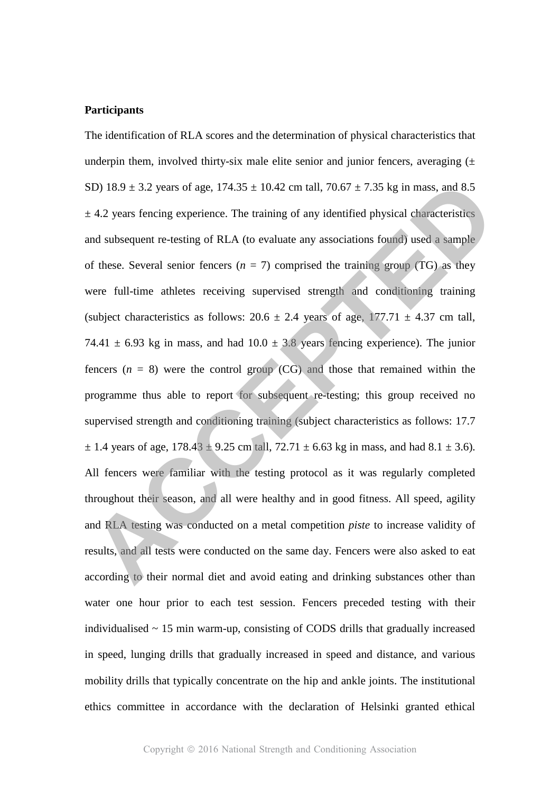## **Participants**

The identification of RLA scores and the determination of physical characteristics that underpin them, involved thirty-six male elite senior and junior fencers, averaging  $(\pm$ SD) 18.9  $\pm$  3.2 years of age, 174.35  $\pm$  10.42 cm tall, 70.67  $\pm$  7.35 kg in mass, and 8.5  $\pm$  4.2 years fencing experience. The training of any identified physical characteristics and subsequent re-testing of RLA (to evaluate any associations found) used a sample of these. Several senior fencers  $(n = 7)$  comprised the training group (TG) as they were full-time athletes receiving supervised strength and conditioning training (subject characteristics as follows:  $20.6 \pm 2.4$  years of age,  $177.71 \pm 4.37$  cm tall, 74.41  $\pm$  6.93 kg in mass, and had 10.0  $\pm$  3.8 years fencing experience). The junior fencers  $(n = 8)$  were the control group  $(CG)$  and those that remained within the programme thus able to report for subsequent re-testing; this group received no supervised strength and conditioning training (subject characteristics as follows: 17.7  $\pm$  1.4 years of age, 178.43  $\pm$  9.25 cm tall, 72.71  $\pm$  6.63 kg in mass, and had 8.1  $\pm$  3.6). All fencers were familiar with the testing protocol as it was regularly completed throughout their season, and all were healthy and in good fitness. All speed, agility and RLA testing was conducted on a metal competition *piste* to increase validity of results, and all tests were conducted on the same day. Fencers were also asked to eat according to their normal diet and avoid eating and drinking substances other than water one hour prior to each test session. Fencers preceded testing with their individualised  $\sim$  15 min warm-up, consisting of CODS drills that gradually increased in speed, lunging drills that gradually increased in speed and distance, and various mobility drills that typically concentrate on the hip and ankle joints. The institutional ethics committee in accordance with the declaration of Helsinki granted ethical SD) 18.9 ± 3.2 years of age, 174.35 ± 10.42 cm tall, 70.67 ± 7.35 kg in mass, and 8.5<br>  $\pm$  4.2 years fencing experience. The training of any identified physical characteristics<br>
and subsequent re-testing of RLA (to evalu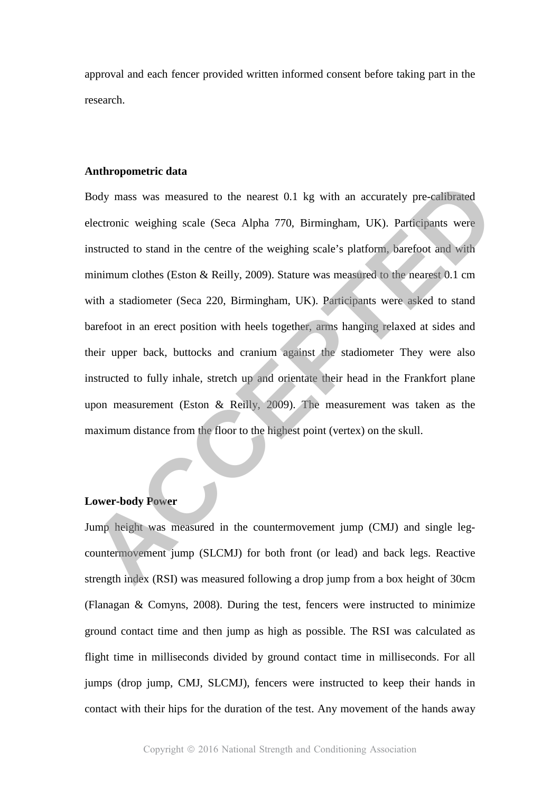approval and each fencer provided written informed consent before taking part in the research.

## **Anthropometric data**

Body mass was measured to the nearest 0.1 kg with an accurately pre-calibrated electronic weighing scale (Seca Alpha 770, Birmingham, UK). Participants were instructed to stand in the centre of the weighing scale's platform, barefoot and with minimum clothes (Eston & Reilly, 2009). Stature was measured to the nearest 0.1 cm with a stadiometer (Seca 220, Birmingham, UK). Participants were asked to stand barefoot in an erect position with heels together, arms hanging relaxed at sides and their upper back, buttocks and cranium against the stadiometer They were also instructed to fully inhale, stretch up and orientate their head in the Frankfort plane upon measurement (Eston & Reilly, 2009). The measurement was taken as the maximum distance from the floor to the highest point (vertex) on the skull. Body mass was measured to the nearest 0.1 kg with an accurately pre-calibrated<br>electronic weighing scale (Seca Alpha 770, Birmingham, UK). Participants were<br>instructed to stand in the centre of the weighing scale's platfor

## **Lower-body Power**

Jump height was measured in the countermovement jump (CMJ) and single legcountermovement jump (SLCMJ) for both front (or lead) and back legs. Reactive strength index (RSI) was measured following a drop jump from a box height of 30cm (Flanagan & Comyns, 2008). During the test, fencers were instructed to minimize ground contact time and then jump as high as possible. The RSI was calculated as flight time in milliseconds divided by ground contact time in milliseconds. For all jumps (drop jump, CMJ, SLCMJ), fencers were instructed to keep their hands in contact with their hips for the duration of the test. Any movement of the hands away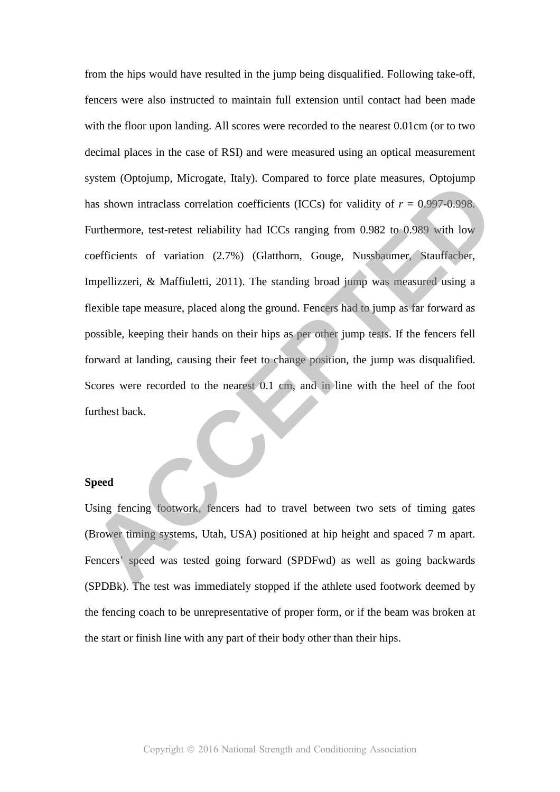from the hips would have resulted in the jump being disqualified. Following take-off, fencers were also instructed to maintain full extension until contact had been made with the floor upon landing. All scores were recorded to the nearest 0.01cm (or to two decimal places in the case of RSI) and were measured using an optical measurement system (Optojump, Microgate, Italy). Compared to force plate measures, Optojump has shown intraclass correlation coefficients (ICCs) for validity of  $r = 0.997 - 0.998$ . Furthermore, test-retest reliability had ICCs ranging from 0.982 to 0.989 with low coefficients of variation (2.7%) (Glatthorn, Gouge, Nussbaumer, Stauffacher, Impellizzeri, & Maffiuletti, 2011). The standing broad jump was measured using a flexible tape measure, placed along the ground. Fencers had to jump as far forward as possible, keeping their hands on their hips as per other jump tests. If the fencers fell forward at landing, causing their feet to change position, the jump was disqualified. Scores were recorded to the nearest 0.1 cm, and in line with the heel of the foot furthest back. System (Optojump, Microgate, Italy). Compared to force pate measures, Optojump<br>
Alta Shown intraclass correlation coefficients (ICCs) for validity of  $r = 0.997-0.998$ .<br>
Furthermore, test-retest reliability had ICCs ranging

## **Speed**

Using fencing footwork, fencers had to travel between two sets of timing gates (Brower timing systems, Utah, USA) positioned at hip height and spaced 7 m apart. Fencers' speed was tested going forward (SPDFwd) as well as going backwards (SPDBk). The test was immediately stopped if the athlete used footwork deemed by the fencing coach to be unrepresentative of proper form, or if the beam was broken at the start or finish line with any part of their body other than their hips.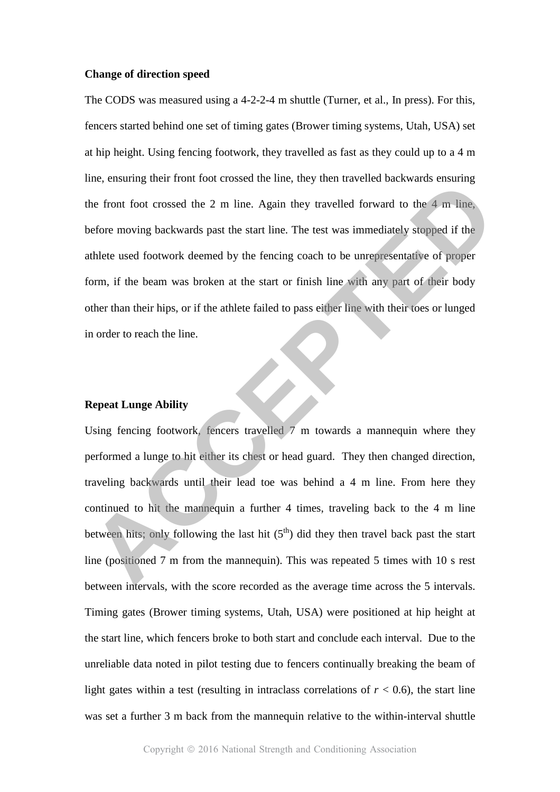#### **Change of direction speed**

The CODS was measured using a 4-2-2-4 m shuttle (Turner, et al., In press). For this, fencers started behind one set of timing gates (Brower timing systems, Utah, USA) set at hip height. Using fencing footwork, they travelled as fast as they could up to a 4 m line, ensuring their front foot crossed the line, they then travelled backwards ensuring the front foot crossed the 2 m line. Again they travelled forward to the 4 m line, before moving backwards past the start line. The test was immediately stopped if the athlete used footwork deemed by the fencing coach to be unrepresentative of proper form, if the beam was broken at the start or finish line with any part of their body other than their hips, or if the athlete failed to pass either line with their toes or lunged in order to reach the line. The entropy the most of the mannequin a further 4 times, traveling backwards insuring<br>the front foot crossed the 2 m line. Again they travelled forward to the 4 m line.<br>Accelere moving backwards past the start line. The te

#### **Repeat Lunge Ability**

Using fencing footwork, fencers travelled  $\bar{\ell}$  m towards a mannequin where they performed a lunge to hit either its chest or head guard. They then changed direction, traveling backwards until their lead toe was behind a 4 m line. From here they continued to hit the mannequin a further 4 times, traveling back to the 4 m line between hits; only following the last hit  $(5<sup>th</sup>)$  did they then travel back past the start line (positioned 7 m from the mannequin). This was repeated 5 times with 10 s rest between intervals, with the score recorded as the average time across the 5 intervals. Timing gates (Brower timing systems, Utah, USA) were positioned at hip height at the start line, which fencers broke to both start and conclude each interval. Due to the unreliable data noted in pilot testing due to fencers continually breaking the beam of light gates within a test (resulting in intraclass correlations of  $r < 0.6$ ), the start line was set a further 3 m back from the mannequin relative to the within-interval shuttle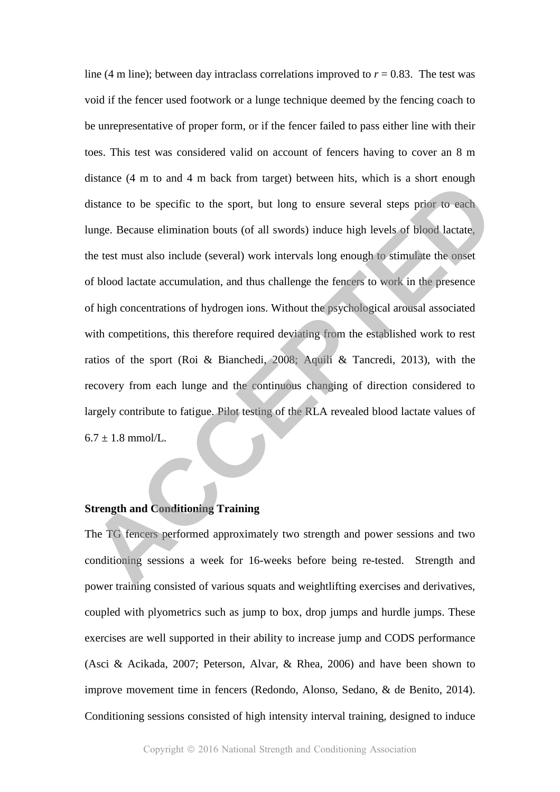line (4 m line); between day intraclass correlations improved to  $r = 0.83$ . The test was void if the fencer used footwork or a lunge technique deemed by the fencing coach to be unrepresentative of proper form, or if the fencer failed to pass either line with their toes. This test was considered valid on account of fencers having to cover an 8 m distance (4 m to and 4 m back from target) between hits, which is a short enough distance to be specific to the sport, but long to ensure several steps prior to each lunge. Because elimination bouts (of all swords) induce high levels of blood lactate, the test must also include (several) work intervals long enough to stimulate the onset of blood lactate accumulation, and thus challenge the fencers to work in the presence of high concentrations of hydrogen ions. Without the psychological arousal associated with competitions, this therefore required deviating from the established work to rest ratios of the sport (Roi & Bianchedi, 2008; Aquili & Tancredi, 2013), with the recovery from each lunge and the continuous changing of direction considered to largely contribute to fatigue. Pilot testing of the RLA revealed blood lactate values of  $6.7 \pm 1.8$  mmol/L. anslance (4 m to and 4 m back from target) between mis, which is a stort enough<br>distance to be specific to the sport, but long to ensure several steps prior to each<br>lunge. Because elimination bouts (of all swords) induce h

## **Strength and Conditioning Training**

The TG fencers performed approximately two strength and power sessions and two conditioning sessions a week for 16-weeks before being re-tested. Strength and power training consisted of various squats and weightlifting exercises and derivatives, coupled with plyometrics such as jump to box, drop jumps and hurdle jumps. These exercises are well supported in their ability to increase jump and CODS performance (Asci & Acikada, 2007; Peterson, Alvar, & Rhea, 2006) and have been shown to improve movement time in fencers (Redondo, Alonso, Sedano, & de Benito, 2014). Conditioning sessions consisted of high intensity interval training, designed to induce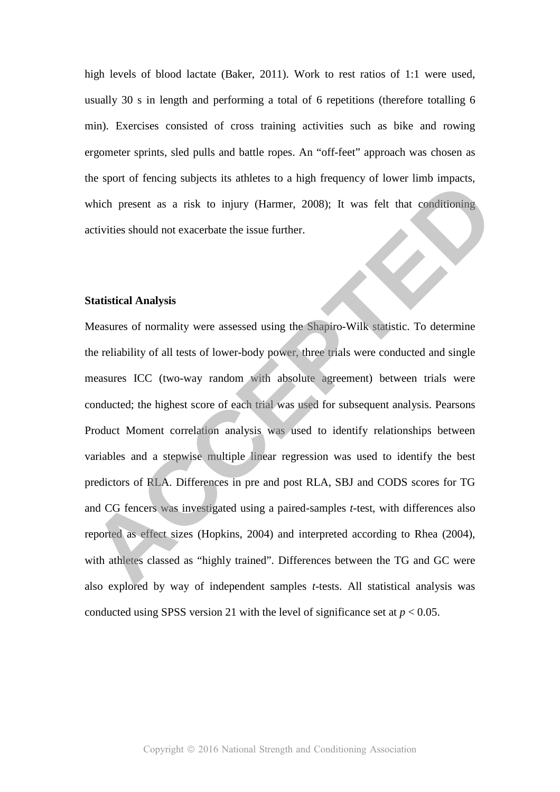high levels of blood lactate (Baker, 2011). Work to rest ratios of 1:1 were used, usually 30 s in length and performing a total of 6 repetitions (therefore totalling 6 min). Exercises consisted of cross training activities such as bike and rowing ergometer sprints, sled pulls and battle ropes. An "off-feet" approach was chosen as the sport of fencing subjects its athletes to a high frequency of lower limb impacts, which present as a risk to injury (Harmer, 2008); It was felt that conditioning activities should not exacerbate the issue further.

#### **Statistical Analysis**

Measures of normality were assessed using the Shapiro-Wilk statistic. To determine the reliability of all tests of lower-body power, three trials were conducted and single measures ICC (two-way random with absolute agreement) between trials were conducted; the highest score of each trial was used for subsequent analysis. Pearsons Product Moment correlation analysis was used to identify relationships between variables and a stepwise multiple linear regression was used to identify the best predictors of RLA. Differences in pre and post RLA, SBJ and CODS scores for TG and CG fencers was investigated using a paired-samples *t*-test, with differences also reported as effect sizes (Hopkins, 2004) and interpreted according to Rhea (2004), with athletes classed as "highly trained". Differences between the TG and GC were also explored by way of independent samples *t*-tests. All statistical analysis was conducted using SPSS version 21 with the level of significance set at  $p < 0.05$ . The sport of energy subjects its atmetes to a right requirement provide measurement as a risk to injury (Harmer, 2008); It was felt that conditioning<br>activities should not exacerbate the issue further.<br>**Statistical Analysi**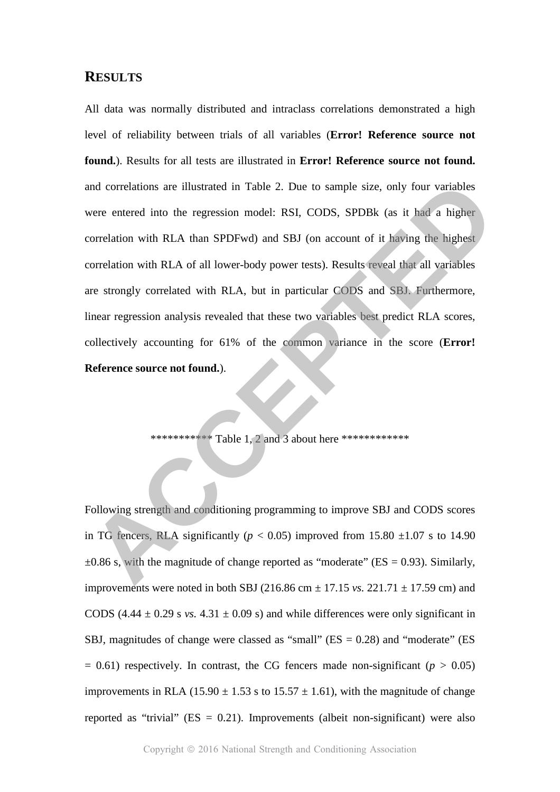## **RESULTS**

All data was normally distributed and intraclass correlations demonstrated a high level of reliability between trials of all variables (**Error! Reference source not found.**). Results for all tests are illustrated in **Error! Reference source not found.** and correlations are illustrated in Table 2. Due to sample size, only four variables were entered into the regression model: RSI, CODS, SPDBk (as it had a higher correlation with RLA than SPDFwd) and SBJ (on account of it having the highest correlation with RLA of all lower-body power tests). Results reveal that all variables are strongly correlated with RLA, but in particular CODS and SBJ. Furthermore, linear regression analysis revealed that these two variables best predict RLA scores, collectively accounting for 61% of the common variance in the score (**Error! Reference source not found.**). and correlations are illustrated in Table 2. Due to sample size, only four variables<br>were entered into the regression model: RSI, CODS, SPDBk (as it had a higher<br>correlation with RLA than SPDFwd) and SBJ (on account of it

\*\*\*\*\*\*\*\*\*\*\*\*\* Table 1, 2 and 3 about here \*\*\*\*\*\*\*\*\*\*\*\*\*

Following strength and conditioning programming to improve SBJ and CODS scores in TG fencers, RLA significantly ( $p < 0.05$ ) improved from 15.80  $\pm 1.07$  s to 14.90  $\pm 0.86$  s, with the magnitude of change reported as "moderate" (ES = 0.93). Similarly, improvements were noted in both SBJ (216.86 cm  $\pm$  17.15 *vs.* 221.71  $\pm$  17.59 cm) and CODS  $(4.44 \pm 0.29 \text{ s} \text{ vs. } 4.31 \pm 0.09 \text{ s})$  and while differences were only significant in SBJ, magnitudes of change were classed as "small"  $(ES = 0.28)$  and "moderate"  $(ES = 0.28)$  $= 0.61$ ) respectively. In contrast, the CG fencers made non-significant ( $p > 0.05$ ) improvements in RLA (15.90  $\pm$  1.53 s to 15.57  $\pm$  1.61), with the magnitude of change reported as "trivial" ( $ES = 0.21$ ). Improvements (albeit non-significant) were also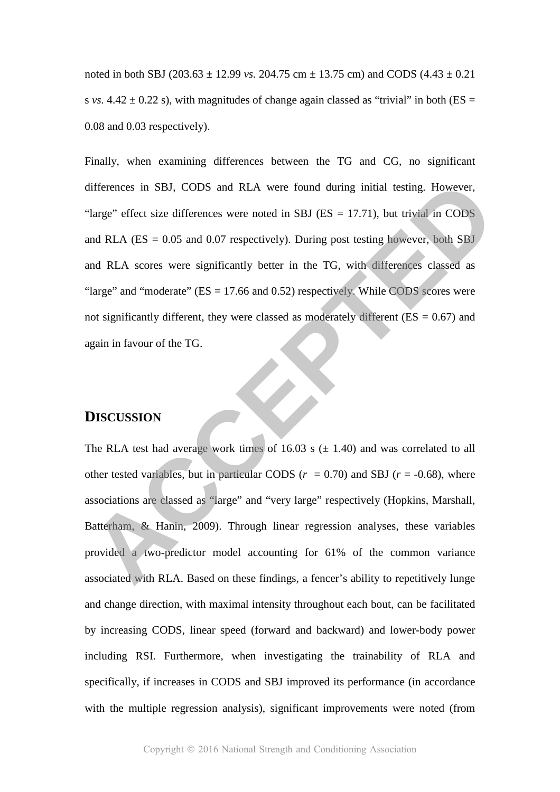noted in both SBJ (203.63  $\pm$  12.99 *vs.* 204.75 cm  $\pm$  13.75 cm) and CODS (4.43  $\pm$  0.21 s *vs.*  $4.42 \pm 0.22$  s), with magnitudes of change again classed as "trivial" in both (ES = 0.08 and 0.03 respectively).

Finally, when examining differences between the TG and CG, no significant differences in SBJ, CODS and RLA were found during initial testing. However, "large" effect size differences were noted in SBJ ( $ES = 17.71$ ), but trivial in CODS and RLA ( $ES = 0.05$  and 0.07 respectively). During post testing however, both SBJ and RLA scores were significantly better in the TG, with differences classed as "large" and "moderate" (ES = 17.66 and 0.52) respectively. While CODS scores were not significantly different, they were classed as moderately different ( $ES = 0.67$ ) and again in favour of the TG. differences in SBJ, CODS and RLA were found during initial testing. However, "large" effect size differences were noted in SBJ (ES = 17.71), but trivial in CODS<br>and RLA (ES = 0.05 and 0.07 respectively). During post testin

# **DISCUSSION**

The RLA test had average work times of 16.03 s  $(\pm 1.40)$  and was correlated to all other tested variables, but in particular CODS  $(r = 0.70)$  and SBJ  $(r = -0.68)$ , where associations are classed as "large" and "very large" respectively (Hopkins, Marshall, Batterham, & Hanin, 2009). Through linear regression analyses, these variables provided a two-predictor model accounting for 61% of the common variance associated with RLA. Based on these findings, a fencer's ability to repetitively lunge and change direction, with maximal intensity throughout each bout, can be facilitated by increasing CODS, linear speed (forward and backward) and lower-body power including RSI. Furthermore, when investigating the trainability of RLA and specifically, if increases in CODS and SBJ improved its performance (in accordance with the multiple regression analysis), significant improvements were noted (from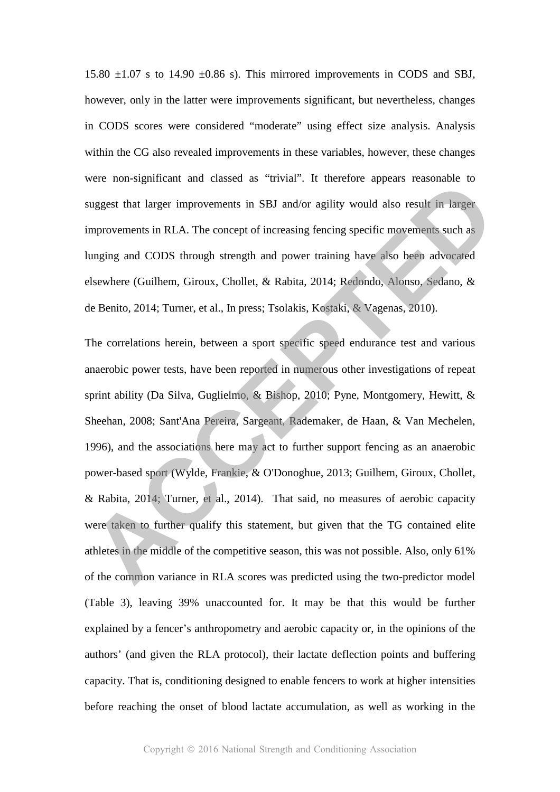15.80  $\pm 1.07$  s to 14.90  $\pm 0.86$  s). This mirrored improvements in CODS and SBJ, however, only in the latter were improvements significant, but nevertheless, changes in CODS scores were considered "moderate" using effect size analysis. Analysis within the CG also revealed improvements in these variables, however, these changes were non-significant and classed as "trivial". It therefore appears reasonable to suggest that larger improvements in SBJ and/or agility would also result in larger improvements in RLA. The concept of increasing fencing specific movements such as lunging and CODS through strength and power training have also been advocated elsewhere (Guilhem, Giroux, Chollet, & Rabita, 2014; Redondo, Alonso, Sedano, & de Benito, 2014; Turner, et al., In press; Tsolakis, Kostaki, & Vagenas, 2010).

The correlations herein, between a sport specific speed endurance test and various anaerobic power tests, have been reported in numerous other investigations of repeat sprint ability (Da Silva, Guglielmo, & Bishop, 2010; Pyne, Montgomery, Hewitt, & Sheehan, 2008; Sant'Ana Pereira, Sargeant, Rademaker, de Haan, & Van Mechelen, 1996), and the associations here may act to further support fencing as an anaerobic power-based sport (Wylde, Frankie, & O'Donoghue, 2013; Guilhem, Giroux, Chollet, & Rabita, 2014; Turner, et al., 2014). That said, no measures of aerobic capacity were taken to further qualify this statement, but given that the TG contained elite athletes in the middle of the competitive season, this was not possible. Also, only 61% of the common variance in RLA scores was predicted using the two-predictor model (Table 3), leaving 39% unaccounted for. It may be that this would be further explained by a fencer's anthropometry and aerobic capacity or, in the opinions of the authors' (and given the RLA protocol), their lactate deflection points and buffering capacity. That is, conditioning designed to enable fencers to work at higher intensities before reaching the onset of blood lactate accumulation, as well as working in the were non-signmeant and cassed as trivial. It therefore appears reasonable to<br>suggest that larger improvements in SBJ and/or agility would also result in larger<br>improvements in RLA. The concept of increasing fencing specifi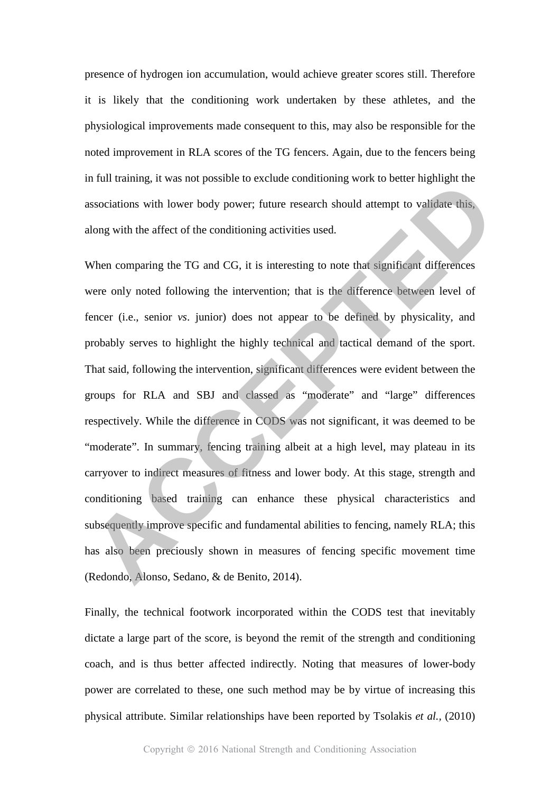presence of hydrogen ion accumulation, would achieve greater scores still. Therefore it is likely that the conditioning work undertaken by these athletes, and the physiological improvements made consequent to this, may also be responsible for the noted improvement in RLA scores of the TG fencers. Again, due to the fencers being in full training, it was not possible to exclude conditioning work to better highlight the associations with lower body power; future research should attempt to validate this, along with the affect of the conditioning activities used.

When comparing the TG and CG, it is interesting to note that significant differences were only noted following the intervention; that is the difference between level of fencer (i.e., senior *vs*. junior) does not appear to be defined by physicality, and probably serves to highlight the highly technical and tactical demand of the sport. That said, following the intervention, significant differences were evident between the groups for RLA and SBJ and classed as "moderate" and "large" differences respectively. While the difference in CODS was not significant, it was deemed to be "moderate". In summary, fencing training albeit at a high level, may plateau in its carryover to indirect measures of fitness and lower body. At this stage, strength and conditioning based training can enhance these physical characteristics and subsequently improve specific and fundamental abilities to fencing, namely RLA; this has also been preciously shown in measures of fencing specific movement time (Redondo, Alonso, Sedano, & de Benito, 2014). If the training, it was not possible to exclude conductioning work to better ingiting the sesociations with tower body power; future research should attempt to validate this along with the affect of the conditioning activi

Finally, the technical footwork incorporated within the CODS test that inevitably dictate a large part of the score, is beyond the remit of the strength and conditioning coach, and is thus better affected indirectly. Noting that measures of lower-body power are correlated to these, one such method may be by virtue of increasing this physical attribute. Similar relationships have been reported by Tsolakis *et al.,* (2010)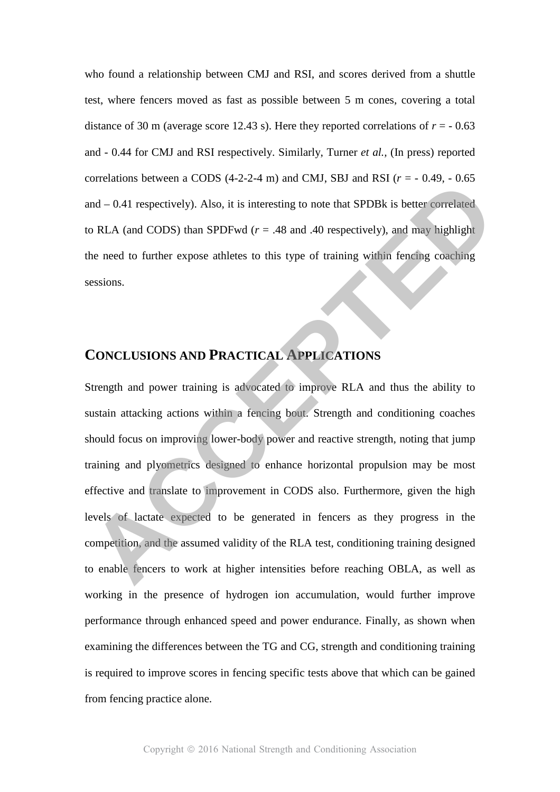who found a relationship between CMJ and RSI, and scores derived from a shuttle test, where fencers moved as fast as possible between 5 m cones, covering a total distance of 30 m (average score 12.43 s). Here they reported correlations of  $r = -0.63$ and - 0.44 for CMJ and RSI respectively. Similarly, Turner *et al.,* (In press) reported correlations between a CODS  $(4-2-2-4 \text{ m})$  and CMJ, SBJ and RSI  $(r = -0.49, -0.65)$ and – 0.41 respectively). Also, it is interesting to note that SPDBk is better correlated to RLA (and CODS) than SPDFwd ( $r = .48$  and .40 respectively), and may highlight the need to further expose athletes to this type of training within fencing coaching sessions.

# **CONCLUSIONS AND PRACTICAL APPLICATIONS**

Strength and power training is advocated to improve RLA and thus the ability to sustain attacking actions within a fencing bout. Strength and conditioning coaches should focus on improving lower-body power and reactive strength, noting that jump training and plyometrics designed to enhance horizontal propulsion may be most effective and translate to improvement in CODS also. Furthermore, given the high levels of lactate expected to be generated in fencers as they progress in the competition, and the assumed validity of the RLA test, conditioning training designed to enable fencers to work at higher intensities before reaching OBLA, as well as working in the presence of hydrogen ion accumulation, would further improve performance through enhanced speed and power endurance. Finally, as shown when examining the differences between the TG and CG, strength and conditioning training is required to improve scores in fencing specific tests above that which can be gained from fencing practice alone. Correlations between a CODS  $(4-2-2-4)$  fill) and CMJ, SB3 and KSI  $U = -0.49$ ,  $-0.65$ <br>and  $-0.41$  respectively). Also, it is interesting to note that SPDBk is better correlated<br>to RLA (and CODS) than SPDFwd  $(r = .48$  and .4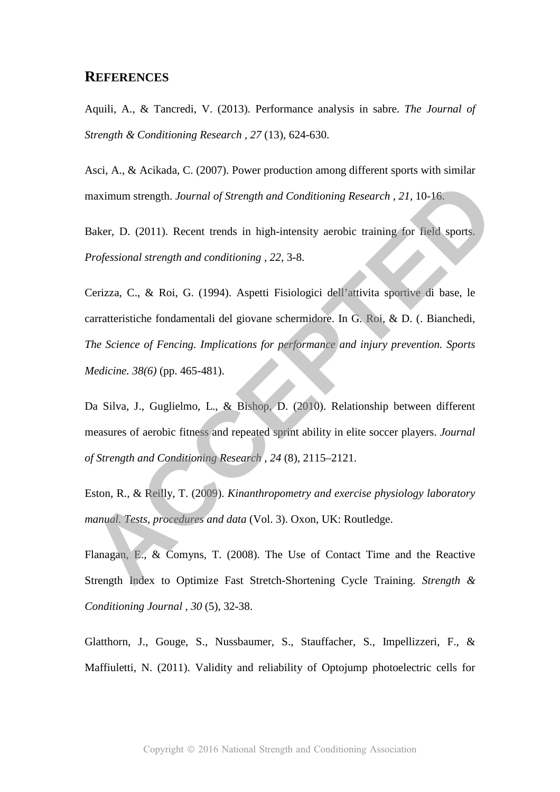## **REFERENCES**

Aquili, A., & Tancredi, V. (2013). Performance analysis in sabre. *The Journal of Strength & Conditioning Research , 27* (13), 624-630.

Asci, A., & Acikada, C. (2007). Power production among different sports with similar maximum strength. *Journal of Strength and Conditioning Research , 21*, 10-16.

Baker, D. (2011). Recent trends in high-intensity aerobic training for field sports. *Professional strength and conditioning , 22*, 3-8.

Cerizza, C., & Roi, G. (1994). Aspetti Fisiologici dell'attivita sportive di base, le carratteristiche fondamentali del giovane schermidore. In G. Roi, & D. (. Bianchedi, *The Science of Fencing. Implications for performance and injury prevention. Sports Medicine. 38(6)* (pp. 465-481). maximum strength. Journal of Strength and Conditioning Research, 21, 10-16,<br>Baker, D. (2011). Recent trends in high-intensity aerobic training for field sports.<br>Professional strength and conditioning , 22, 3-8.<br>Cerizza, C.

Da Silva, J., Guglielmo, L., & Bishop, D. (2010). Relationship between different measures of aerobic fitness and repeated sprint ability in elite soccer players. *Journal of Strength and Conditioning Research , 24* (8), 2115–2121.

Eston, R., & Reilly, T. (2009). *Kinanthropometry and exercise physiology laboratory manual. Tests, procedures and data* (Vol. 3). Oxon, UK: Routledge.

Flanagan, E., & Comyns, T. (2008). The Use of Contact Time and the Reactive Strength Index to Optimize Fast Stretch-Shortening Cycle Training. *Strength & Conditioning Journal , 30* (5), 32-38.

Glatthorn, J., Gouge, S., Nussbaumer, S., Stauffacher, S., Impellizzeri, F., & Maffiuletti, N. (2011). Validity and reliability of Optojump photoelectric cells for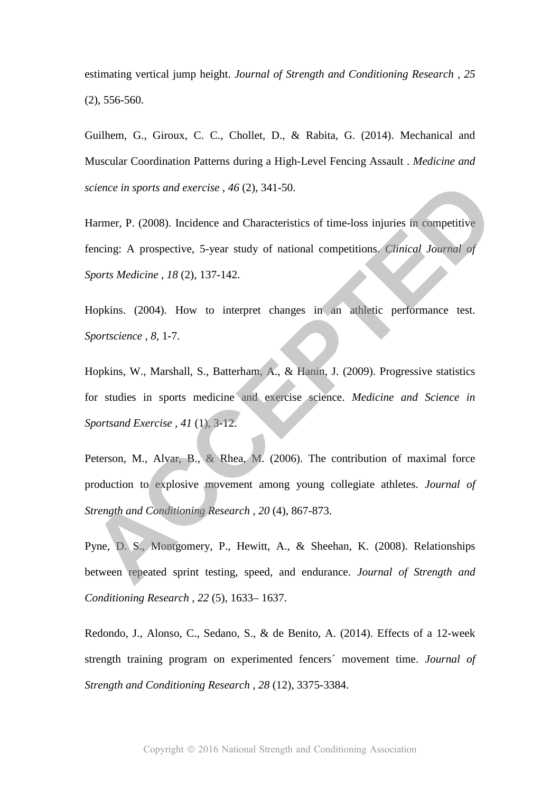estimating vertical jump height. *Journal of Strength and Conditioning Research , 25* (2), 556-560.

Guilhem, G., Giroux, C. C., Chollet, D., & Rabita, G. (2014). Mechanical and Muscular Coordination Patterns during a High-Level Fencing Assault . *Medicine and science in sports and exercise , 46* (2), 341-50.

Harmer, P. (2008). Incidence and Characteristics of time-loss injuries in competitive fencing: A prospective, 5-year study of national competitions. *Clinical Journal of Sports Medicine , 18* (2), 137-142.

Hopkins. (2004). How to interpret changes in an athletic performance test. *Sportscience , 8*, 1-7.

Hopkins, W., Marshall, S., Batterham, A., & Hanin, J. (2009). Progressive statistics for studies in sports medicine and exercise science. *Medicine and Science in Sportsand Exercise , 41* (1), 3-12.

Peterson, M., Alvar, B., & Rhea, M. (2006). The contribution of maximal force production to explosive movement among young collegiate athletes. *Journal of Strength and Conditioning Research , 20* (4), 867-873. Science in sports and exercise, 46 (2), 341-50.<br>
Harmer, P. (2008). Incidence and Characteristics of time-loss injuries in competitive<br>
Eencing: A prospective, 5-year study of national competitions. Clinical Journal of<br>
Sp

Pyne, D. S., Montgomery, P., Hewitt, A., & Sheehan, K. (2008). Relationships between repeated sprint testing, speed, and endurance. *Journal of Strength and Conditioning Research , 22* (5), 1633– 1637.

Redondo, J., Alonso, C., Sedano, S., & de Benito, A. (2014). Effects of a 12-week strength training program on experimented fencers´ movement time. *Journal of Strength and Conditioning Research , 28* (12), 3375-3384.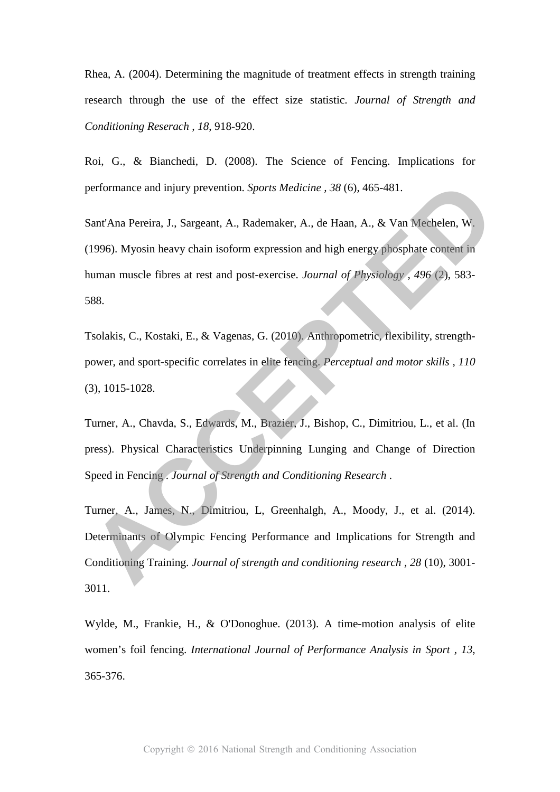Rhea, A. (2004). Determining the magnitude of treatment effects in strength training research through the use of the effect size statistic. *Journal of Strength and Conditioning Reserach , 18*, 918-920.

Roi, G., & Bianchedi, D. (2008). The Science of Fencing. Implications for performance and injury prevention. *Sports Medicine , 38* (6), 465-481.

Sant'Ana Pereira, J., Sargeant, A., Rademaker, A., de Haan, A., & Van Mechelen, W. (1996). Myosin heavy chain isoform expression and high energy phosphate content in human muscle fibres at rest and post-exercise. *Journal of Physiology , 496* (2), 583- 588. performance and injury prevention. *Sports Medicine*, 38 (6), 465-481.<br>
Sant'Ana Pereira, J., Sargeant, A., Rademaker, A., de Haan, A., & Van Mechelen, W.<br>
(1996). Myosin heavy chain isoform expression and high energy phos

Tsolakis, C., Kostaki, E., & Vagenas, G. (2010). Anthropometric, flexibility, strengthpower, and sport-specific correlates in elite fencing. *Perceptual and motor skills , 110* (3), 1015-1028.

Turner, A., Chavda, S., Edwards, M., Brazier, J., Bishop, C., Dimitriou, L., et al. (In press). Physical Characteristics Underpinning Lunging and Change of Direction Speed in Fencing . *Journal of Strength and Conditioning Research* .

Turner, A., James, N., Dimitriou, L, Greenhalgh, A., Moody, J., et al. (2014). Determinants of Olympic Fencing Performance and Implications for Strength and Conditioning Training. *Journal of strength and conditioning research , 28* (10), 3001- 3011.

Wylde, M., Frankie, H., & O'Donoghue. (2013). A time-motion analysis of elite women's foil fencing. *International Journal of Performance Analysis in Sport , 13*, 365-376.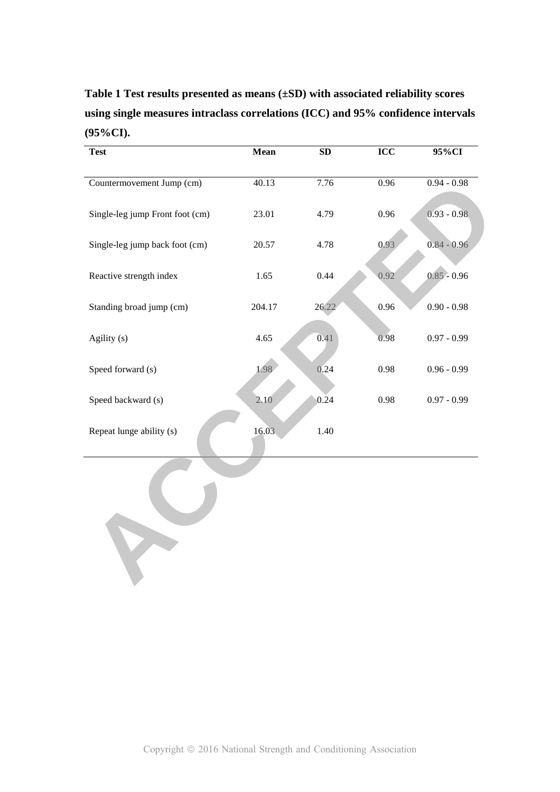**Table 1 Test results presented as means (±SD) with associated reliability scores using single measures intraclass correlations (ICC) and 95% confidence intervals (95%CI).** 

| <b>Test</b>                     | Mean   | ${\bf SD}$ | ICC  | 95%CI         |
|---------------------------------|--------|------------|------|---------------|
|                                 |        |            |      |               |
| Countermovement Jump (cm)       | 40.13  | 7.76       | 0.96 | $0.94 - 0.98$ |
|                                 |        |            |      |               |
| Single-leg jump Front foot (cm) | 23.01  | 4.79       | 0.96 | $0.93 - 0.98$ |
|                                 |        |            |      |               |
| Single-leg jump back foot (cm)  | 20.57  | 4.78       | 0.93 | $0.84 - 0.96$ |
|                                 |        |            |      |               |
| Reactive strength index         | 1.65   | 0.44       | 0.92 | $0.85 - 0.96$ |
|                                 |        |            |      |               |
| Standing broad jump (cm)        | 204.17 | 26.22      | 0.96 | $0.90 - 0.98$ |
| Agility (s)                     | 4.65   | 0.41       | 0.98 | $0.97 - 0.99$ |
|                                 |        |            |      |               |
| Speed forward (s)               | 1.98   | 0.24       | 0.98 | $0.96 - 0.99$ |
|                                 |        |            |      |               |
| Speed backward (s)              | 2.10   | 0.24       | 0.98 | $0.97 - 0.99$ |
|                                 |        |            |      |               |
| Repeat lunge ability (s)        | 16.03  | 1.40       |      |               |
|                                 |        |            |      |               |
|                                 |        |            |      |               |
|                                 |        |            |      |               |
|                                 |        |            |      |               |
|                                 |        |            |      |               |
|                                 |        |            |      |               |
|                                 |        |            |      |               |
|                                 |        |            |      |               |
|                                 |        |            |      |               |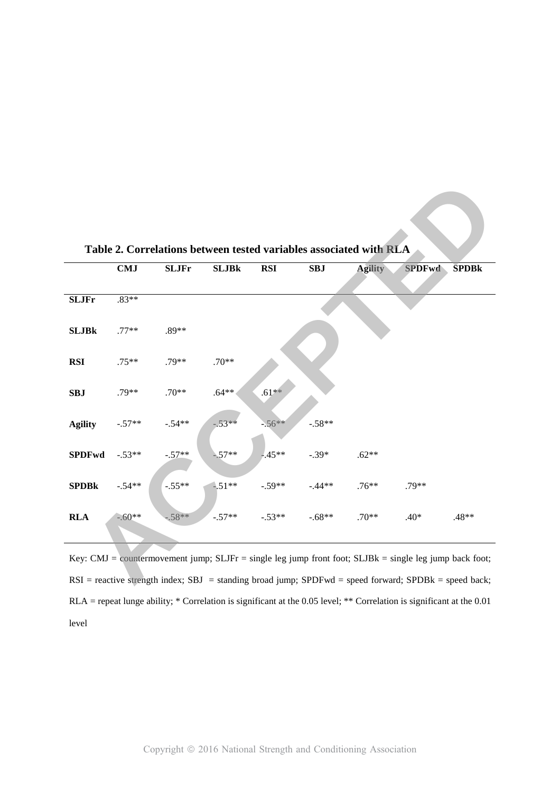|                                                                                                               |            | Table 2. Correlations between tested variables associated with RLA |              |            |            |                |               |              |
|---------------------------------------------------------------------------------------------------------------|------------|--------------------------------------------------------------------|--------------|------------|------------|----------------|---------------|--------------|
|                                                                                                               | <b>CMJ</b> | <b>SLJFr</b>                                                       | <b>SLJBk</b> | <b>RSI</b> | <b>SBJ</b> | <b>Agility</b> | <b>SPDFwd</b> | <b>SPDBk</b> |
| <b>SLJFr</b>                                                                                                  | $.83**$    |                                                                    |              |            |            |                |               |              |
| <b>SLJBk</b>                                                                                                  | $.77**$    | $.89**$                                                            |              |            |            |                |               |              |
| <b>RSI</b>                                                                                                    | $.75**$    | $.79**$                                                            | $.70**$      |            |            |                |               |              |
| <b>SBJ</b>                                                                                                    | $.79**$    | $.70**$                                                            | $.64***$     | $.61**$    |            |                |               |              |
| <b>Agility</b>                                                                                                | $-.57**$   | $-.54**$                                                           | $-53**$      | $-56**$    | $-.58**$   |                |               |              |
| <b>SPDFwd</b>                                                                                                 | $-.53**$   | $-.57**$                                                           | $-.57**$     | $-.45**$   | $-.39*$    | $.62**$        |               |              |
| <b>SPDBk</b>                                                                                                  | $-.54**$   | $-.55**$                                                           | $-51**$      | $-.59**$   | $-.44**$   | $.76**$        | .79**         |              |
| <b>RLA</b>                                                                                                    | $-.60**$   | $.58**$                                                            | $-.57**$     | $-.53**$   | $-.68**$   | $.70**$        | $.40*$        | $.48**$      |
| Key: CMJ = countermovement jump; SLJFr = single leg jump front foot; SLJBk = single leg jump back foot;       |            |                                                                    |              |            |            |                |               |              |
| $RSI$ = reactive strength index; $SBJ$ = standing broad jump; $SPDFwd$ = speed forward; $SPDBk$ = speed back; |            |                                                                    |              |            |            |                |               |              |

**Table 2. Correlations between tested variables associated with RLA** 

Key: CMJ = countermovement jump; SLJFr = single leg jump front foot; SLJBk = single leg jump back foot; RSI = reactive strength index; SBJ = standing broad jump; SPDFwd = speed forward; SPDBk = speed back; RLA = repeat lunge ability; \* Correlation is significant at the 0.05 level; \*\* Correlation is significant at the 0.01 level